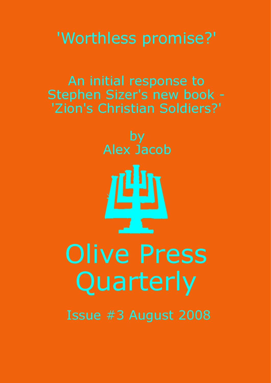# 'Worthless promise?'

An initial response to Stephen Sizer's new book -'Zion's Christian Soldiers?'

by<br>Alex Jacob 哩 **Olive Press** Quarterly Issue #3 August 2008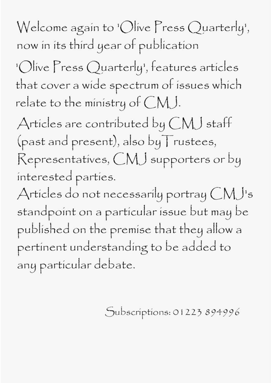Welcome again to 'Olive Press Quarterly', now in its third year of publication

'Olive Press Quarterly', features articles that cover a wide spectrum of issues which relate to the ministry of  $CMJ$ .

Articles are contributed by  $CMJ$  staff (past and present), also by Trustees, Representatives, CMJ supporters or by interested parties.

Articles do not necessarily portray  $CMJ$ 's standpoint on a particular issue but may be published on the premise that they allow a pertinent understanding to be added to any particular debate.

Subscriptions: 01223 894996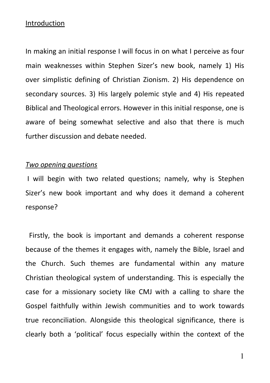### Introduction

In making an initial response I will focus in on what I perceive as four main weaknesses within Stephen Sizer's new book, namely 1) His over simplistic defining of Christian Zionism. 2) His dependence on secondary sources. 3) His largely polemic style and 4) His repeated Biblical and Theological errors. However in this initial response, one is aware of being somewhat selective and also that there is much further discussion and debate needed.

#### Two opening questions

 I will begin with two related questions; namely, why is Stephen Sizer's new book important and why does it demand a coherent response?

 Firstly, the book is important and demands a coherent response because of the themes it engages with, namely the Bible, Israel and the Church. Such themes are fundamental within any mature Christian theological system of understanding. This is especially the case for a missionary society like CMJ with a calling to share the Gospel faithfully within Jewish communities and to work towards true reconciliation. Alongside this theological significance, there is clearly both a 'political' focus especially within the context of the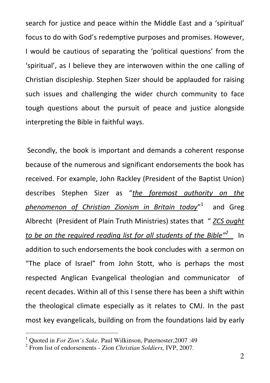search for justice and peace within the Middle East and a 'spiritual' focus to do with God's redemptive purposes and promises. However, I would be cautious of separating the 'political questions' from the 'spiritual', as I believe they are interwoven within the one calling of Christian discipleship. Stephen Sizer should be applauded for raising such issues and challenging the wider church community to face tough questions about the pursuit of peace and justice alongside interpreting the Bible in faithful ways.

 Secondly, the book is important and demands a coherent response because of the numerous and significant endorsements the book has received. For example, John Rackley (President of the Baptist Union) describes Stephen Sizer as "the foremost authority on the phenomenon of Christian Zionism in Britain today"<sup>1</sup> and Greg Albrecht (President of Plain Truth Ministries) states that " ZCS ought to be on the required reading list for all students of the Bible"<sup>2</sup> In addition to such endorsements the book concludes with a sermon on "The place of Israel" from John Stott, who is perhaps the most respected Anglican Evangelical theologian and communicator of recent decades. Within all of this I sense there has been a shift within the theological climate especially as it relates to CMJ. In the past most key evangelicals, building on from the foundations laid by early

<sup>1</sup> Quoted in *For Zion's Sake,* Paul Wilkinson, Paternoster,2007 :49

<sup>2</sup> From list of endorsements - Zion *Christian Soldiers,* IVP, 2007.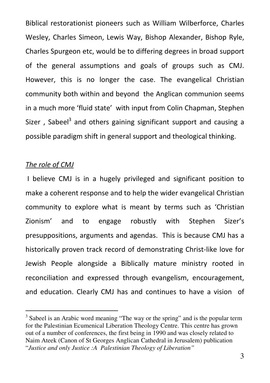Biblical restorationist pioneers such as William Wilberforce, Charles Wesley, Charles Simeon, Lewis Way, Bishop Alexander, Bishop Ryle, Charles Spurgeon etc, would be to differing degrees in broad support of the general assumptions and goals of groups such as CMJ. However, this is no longer the case. The evangelical Christian community both within and beyond the Anglican communion seems in a much more 'fluid state' with input from Colin Chapman, Stephen Sizer, Sabeel<sup>3</sup> and others gaining significant support and causing a possible paradigm shift in general support and theological thinking.

# The role of CMJ

1

 I believe CMJ is in a hugely privileged and significant position to make a coherent response and to help the wider evangelical Christian community to explore what is meant by terms such as 'Christian Zionism' and to engage robustly with Stephen Sizer's presuppositions, arguments and agendas. This is because CMJ has a historically proven track record of demonstrating Christ-like love for Jewish People alongside a Biblically mature ministry rooted in reconciliation and expressed through evangelism, encouragement, and education. Clearly CMJ has and continues to have a vision of

<sup>&</sup>lt;sup>3</sup> Sabeel is an Arabic word meaning "The way or the spring" and is the popular term for the Palestinian Ecumenical Liberation Theology Centre. This centre has grown out of a number of conferences, the first being in 1990 and was closely related to Naim Ateek (Canon of St Georges Anglican Cathedral in Jerusalem) publication "*Justice and only Justice :A Palestinian Theology of Liberation"*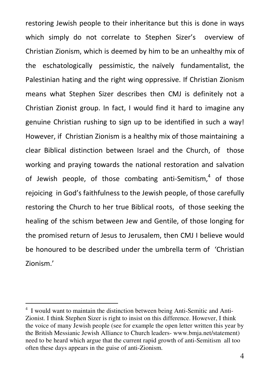restoring Jewish people to their inheritance but this is done in ways which simply do not correlate to Stephen Sizer's overview of Christian Zionism, which is deemed by him to be an unhealthy mix of the eschatologically pessimistic, the naïvely fundamentalist, the Palestinian hating and the right wing oppressive. If Christian Zionism means what Stephen Sizer describes then CMJ is definitely not a Christian Zionist group. In fact, I would find it hard to imagine any genuine Christian rushing to sign up to be identified in such a way! However, if Christian Zionism is a healthy mix of those maintaining a clear Biblical distinction between Israel and the Church, of those working and praying towards the national restoration and salvation of Jewish people, of those combating anti-Semitism,<sup>4</sup> of those rejoicing in God's faithfulness to the Jewish people, of those carefully restoring the Church to her true Biblical roots, of those seeking the healing of the schism between Jew and Gentile, of those longing for the promised return of Jesus to Jerusalem, then CMJ I believe would be honoured to be described under the umbrella term of 'Christian Zionism.'

<sup>&</sup>lt;sup>4</sup> I would want to maintain the distinction between being Anti-Semitic and Anti-Zionist. I think Stephen Sizer is right to insist on this difference. However, I think the voice of many Jewish people (see for example the open letter written this year by the British Messianic Jewish Alliance to Church leaders- www.bmja.net/statement) need to be heard which argue that the current rapid growth of anti-Semitism all too often these days appears in the guise of anti-Zionism.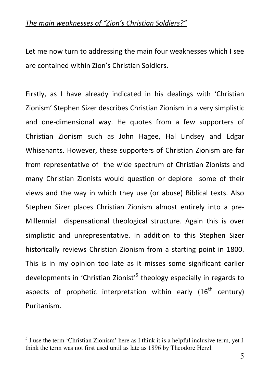## The main weaknesses of "Zion's Christian Soldiers?"

Let me now turn to addressing the main four weaknesses which I see are contained within Zion's Christian Soldiers.

Firstly, as I have already indicated in his dealings with 'Christian Zionism' Stephen Sizer describes Christian Zionism in a very simplistic and one-dimensional way. He quotes from a few supporters of Christian Zionism such as John Hagee, Hal Lindsey and Edgar Whisenants. However, these supporters of Christian Zionism are far from representative of the wide spectrum of Christian Zionists and many Christian Zionists would question or deplore some of their views and the way in which they use (or abuse) Biblical texts. Also Stephen Sizer places Christian Zionism almost entirely into a pre-Millennial dispensational theological structure. Again this is over simplistic and unrepresentative. In addition to this Stephen Sizer historically reviews Christian Zionism from a starting point in 1800. This is in my opinion too late as it misses some significant earlier developments in 'Christian Zionist'<sup>5</sup> theology especially in regards to aspects of prophetic interpretation within early  $(16<sup>th</sup>$  century) Puritanism.

<sup>&</sup>lt;sup>5</sup> I use the term 'Christian Zionism' here as I think it is a helpful inclusive term, yet I think the term was not first used until as late as 1896 by Theodore Herzl.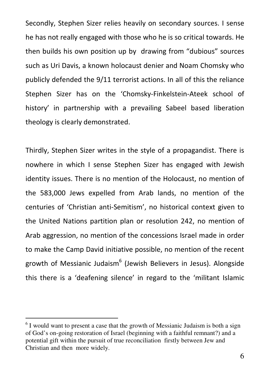Secondly, Stephen Sizer relies heavily on secondary sources. I sense he has not really engaged with those who he is so critical towards. He then builds his own position up by drawing from "dubious" sources such as Uri Davis, a known holocaust denier and Noam Chomsky who publicly defended the 9/11 terrorist actions. In all of this the reliance Stephen Sizer has on the 'Chomsky-Finkelstein-Ateek school of history' in partnership with a prevailing Sabeel based liberation theology is clearly demonstrated.

Thirdly, Stephen Sizer writes in the style of a propagandist. There is nowhere in which I sense Stephen Sizer has engaged with Jewish identity issues. There is no mention of the Holocaust, no mention of the 583,000 Jews expelled from Arab lands, no mention of the centuries of 'Christian anti-Semitism', no historical context given to the United Nations partition plan or resolution 242, no mention of Arab aggression, no mention of the concessions Israel made in order to make the Camp David initiative possible, no mention of the recent growth of Messianic Judaism<sup>6</sup> (Jewish Believers in Jesus). Alongside this there is a 'deafening silence' in regard to the 'militant Islamic

<u>.</u>

 $6$  I would want to present a case that the growth of Messianic Judaism is both a sign of God's on-going restoration of Israel (beginning with a faithful remnant?) and a potential gift within the pursuit of true reconciliation firstly between Jew and Christian and then more widely.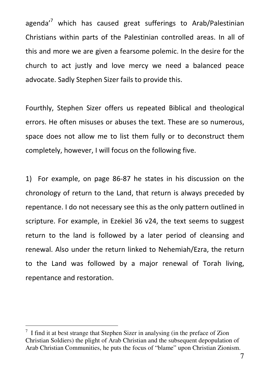agenda<sup>,7</sup> which has caused great sufferings to Arab/Palestinian Christians within parts of the Palestinian controlled areas. In all of this and more we are given a fearsome polemic. In the desire for the church to act justly and love mercy we need a balanced peace advocate. Sadly Stephen Sizer fails to provide this.

Fourthly, Stephen Sizer offers us repeated Biblical and theological errors. He often misuses or abuses the text. These are so numerous, space does not allow me to list them fully or to deconstruct them completely, however, I will focus on the following five.

1) For example, on page 86-87 he states in his discussion on the chronology of return to the Land, that return is always preceded by repentance. I do not necessary see this as the only pattern outlined in scripture. For example, in Ezekiel 36 v24, the text seems to suggest return to the land is followed by a later period of cleansing and renewal. Also under the return linked to Nehemiah/Ezra, the return to the Land was followed by a major renewal of Torah living, repentance and restoration.

<sup>&</sup>lt;sup>7</sup> I find it at best strange that Stephen Sizer in analysing (in the preface of Zion Christian Soldiers) the plight of Arab Christian and the subsequent depopulation of Arab Christian Communities, he puts the focus of "blame" upon Christian Zionism.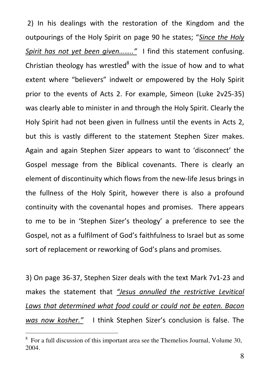2) In his dealings with the restoration of the Kingdom and the outpourings of the Holy Spirit on page 90 he states; "Since the Holy Spirit has not yet been given........" I find this statement confusing. Christian theology has wrestled $8$  with the issue of how and to what extent where "believers" indwelt or empowered by the Holy Spirit prior to the events of Acts 2. For example, Simeon (Luke 2v25-35) was clearly able to minister in and through the Holy Spirit. Clearly the Holy Spirit had not been given in fullness until the events in Acts 2, but this is vastly different to the statement Stephen Sizer makes. Again and again Stephen Sizer appears to want to 'disconnect' the Gospel message from the Biblical covenants. There is clearly an element of discontinuity which flows from the new-life Jesus brings in the fullness of the Holy Spirit, however there is also a profound continuity with the covenantal hopes and promises. There appears to me to be in 'Stephen Sizer's theology' a preference to see the Gospel, not as a fulfilment of God's faithfulness to Israel but as some sort of replacement or reworking of God's plans and promises.

3) On page 36-37, Stephen Sizer deals with the text Mark 7v1-23 and makes the statement that "Jesus annulled the restrictive Levitical Laws that determined what food could or could not be eaten. Bacon was now kosher." I think Stephen Sizer's conclusion is false. The

<sup>&</sup>lt;sup>8</sup> For a full discussion of this important area see the Themelios Journal, Volume 30, 2004.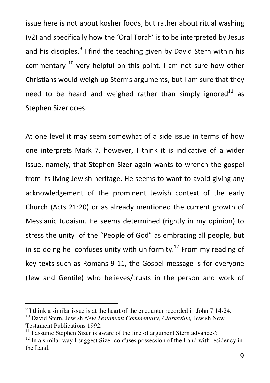issue here is not about kosher foods, but rather about ritual washing (v2) and specifically how the 'Oral Torah' is to be interpreted by Jesus and his disciples.<sup>9</sup> I find the teaching given by David Stern within his commentary  $10$  very helpful on this point. I am not sure how other Christians would weigh up Stern's arguments, but I am sure that they need to be heard and weighed rather than simply ignored<sup>11</sup> as Stephen Sizer does.

At one level it may seem somewhat of a side issue in terms of how one interprets Mark 7, however, I think it is indicative of a wider issue, namely, that Stephen Sizer again wants to wrench the gospel from its living Jewish heritage. He seems to want to avoid giving any acknowledgement of the prominent Jewish context of the early Church (Acts 21:20) or as already mentioned the current growth of Messianic Judaism. He seems determined (rightly in my opinion) to stress the unity of the "People of God" as embracing all people, but in so doing he confuses unity with uniformity.<sup>12</sup> From my reading of key texts such as Romans 9-11, the Gospel message is for everyone (Jew and Gentile) who believes/trusts in the person and work of

 $9<sup>9</sup>$  I think a similar issue is at the heart of the encounter recorded in John 7:14-24.

<sup>10</sup> David Stern, Jewish *New Testament Commentary, Clarksville,* Jewish New Testament Publications 1992.

<sup>&</sup>lt;sup>11</sup> I assume Stephen Sizer is aware of the line of argument Stern advances?

 $12$  In a similar way I suggest Sizer confuses possession of the Land with residency in the Land.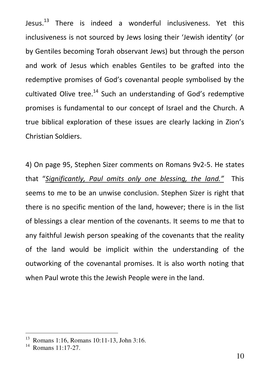Jesus.<sup>13</sup> There is indeed a wonderful inclusiveness. Yet this inclusiveness is not sourced by Jews losing their 'Jewish identity' (or by Gentiles becoming Torah observant Jews) but through the person and work of Jesus which enables Gentiles to be grafted into the redemptive promises of God's covenantal people symbolised by the cultivated Olive tree.<sup>14</sup> Such an understanding of God's redemptive promises is fundamental to our concept of Israel and the Church. A true biblical exploration of these issues are clearly lacking in Zion's Christian Soldiers.

4) On page 95, Stephen Sizer comments on Romans 9v2-5. He states that "Significantly, Paul omits only one blessing, the land." This seems to me to be an unwise conclusion. Stephen Sizer is right that there is no specific mention of the land, however; there is in the list of blessings a clear mention of the covenants. It seems to me that to any faithful Jewish person speaking of the covenants that the reality of the land would be implicit within the understanding of the outworking of the covenantal promises. It is also worth noting that when Paul wrote this the Jewish People were in the land.

<sup>13</sup> Romans 1:16, Romans 10:11-13, John 3:16.

<sup>14</sup> Romans 11:17-27.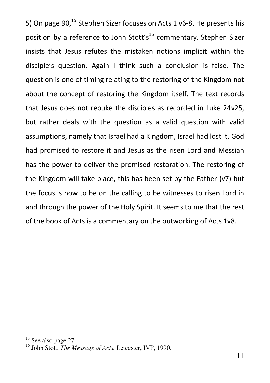5) On page 90.<sup>15</sup> Stephen Sizer focuses on Acts 1 v6-8. He presents his position by a reference to John Stott's<sup>16</sup> commentary. Stephen Sizer insists that Jesus refutes the mistaken notions implicit within the disciple's question. Again I think such a conclusion is false. The question is one of timing relating to the restoring of the Kingdom not about the concept of restoring the Kingdom itself. The text records that Jesus does not rebuke the disciples as recorded in Luke 24v25, but rather deals with the question as a valid question with valid assumptions, namely that Israel had a Kingdom, Israel had lost it, God had promised to restore it and Jesus as the risen Lord and Messiah has the power to deliver the promised restoration. The restoring of the Kingdom will take place, this has been set by the Father (v7) but the focus is now to be on the calling to be witnesses to risen Lord in and through the power of the Holy Spirit. It seems to me that the rest of the book of Acts is a commentary on the outworking of Acts 1v8.

<sup>&</sup>lt;sup>15</sup> See also page 27

<sup>16</sup> John Stott, *The Message of Acts.* Leicester, IVP, 1990.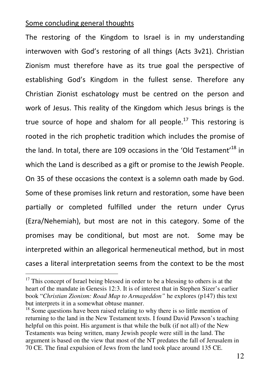### Some concluding general thoughts

-

The restoring of the Kingdom to Israel is in my understanding interwoven with God's restoring of all things (Acts 3v21). Christian Zionism must therefore have as its true goal the perspective of establishing God's Kingdom in the fullest sense. Therefore any Christian Zionist eschatology must be centred on the person and work of Jesus. This reality of the Kingdom which Jesus brings is the true source of hope and shalom for all people.<sup>17</sup> This restoring is rooted in the rich prophetic tradition which includes the promise of the land. In total, there are 109 occasions in the 'Old Testament'<sup>18</sup> in which the Land is described as a gift or promise to the Jewish People. On 35 of these occasions the context is a solemn oath made by God. Some of these promises link return and restoration, some have been partially or completed fulfilled under the return under Cyrus (Ezra/Nehemiah), but most are not in this category. Some of the promises may be conditional, but most are not. Some may be interpreted within an allegorical hermeneutical method, but in most cases a literal interpretation seems from the context to be the most

 $17$  This concept of Israel being blessed in order to be a blessing to others is at the heart of the mandate in Genesis 12:3. It is of interest that in Stephen Sizer's earlier book "*Christian Zionism: Road Map to Armageddon"* he explores (p147) this text but interprets it in a somewhat obtuse manner.

 $18$  Some questions have been raised relating to why there is so little mention of returning to the land in the New Testament texts. I found David Pawson's teaching helpful on this point. His argument is that while the bulk (if not all) of the New Testaments was being written, many Jewish people were still in the land. The argument is based on the view that most of the NT predates the fall of Jerusalem in 70 CE. The final expulsion of Jews from the land took place around 135 CE.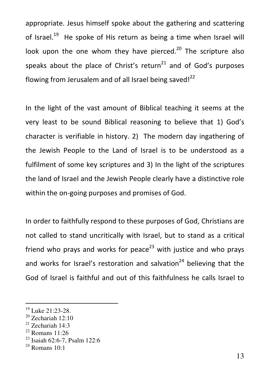appropriate. Jesus himself spoke about the gathering and scattering of Israel.<sup>19</sup> He spoke of His return as being a time when Israel will look upon the one whom they have pierced.<sup>20</sup> The scripture also speaks about the place of Christ's return<sup>21</sup> and of God's purposes flowing from Jerusalem and of all Israel being saved! $^{22}$ 

In the light of the vast amount of Biblical teaching it seems at the very least to be sound Biblical reasoning to believe that 1) God's character is verifiable in history. 2) The modern day ingathering of the Jewish People to the Land of Israel is to be understood as a fulfilment of some key scriptures and 3) In the light of the scriptures the land of Israel and the Jewish People clearly have a distinctive role within the on-going purposes and promises of God.

In order to faithfully respond to these purposes of God, Christians are not called to stand uncritically with Israel, but to stand as a critical friend who prays and works for peace<sup>23</sup> with justice and who prays and works for Israel's restoration and salvation<sup>24</sup> believing that the God of Israel is faithful and out of this faithfulness he calls Israel to

<sup>19</sup> Luke 21:23-28.

 $20$  Zechariah 12:10

 $21$  Zechariah 14:3

<sup>22</sup> Romans 11:26

<sup>23</sup> Isaiah 62:6-7, Psalm 122:6

 $24$  Romans  $10 \cdot 1$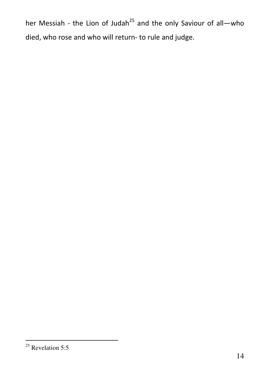her Messiah - the Lion of Judah<sup>25</sup> and the only Saviour of all—who died, who rose and who will return- to rule and judge.

<sup>-</sup> $25$  Revelation 5:5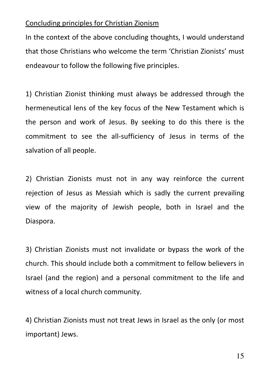# Concluding principles for Christian Zionism

In the context of the above concluding thoughts, I would understand that those Christians who welcome the term 'Christian Zionists' must endeavour to follow the following five principles.

1) Christian Zionist thinking must always be addressed through the hermeneutical lens of the key focus of the New Testament which is the person and work of Jesus. By seeking to do this there is the commitment to see the all-sufficiency of Jesus in terms of the salvation of all people.

2) Christian Zionists must not in any way reinforce the current rejection of Jesus as Messiah which is sadly the current prevailing view of the majority of Jewish people, both in Israel and the Diaspora.

3) Christian Zionists must not invalidate or bypass the work of the church. This should include both a commitment to fellow believers in Israel (and the region) and a personal commitment to the life and witness of a local church community.

4) Christian Zionists must not treat Jews in Israel as the only (or most important) Jews.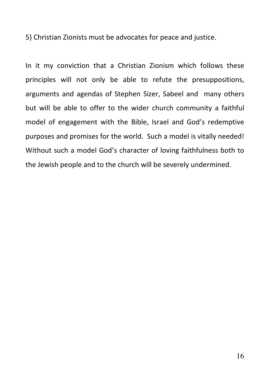5) Christian Zionists must be advocates for peace and justice.

In it my conviction that a Christian Zionism which follows these principles will not only be able to refute the presuppositions, arguments and agendas of Stephen Sizer, Sabeel and many others but will be able to offer to the wider church community a faithful model of engagement with the Bible, Israel and God's redemptive purposes and promises for the world. Such a model is vitally needed! Without such a model God's character of loving faithfulness both to the Jewish people and to the church will be severely undermined.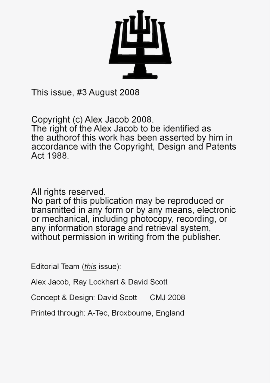

This issue, #3 August 2008

Copyright (c) Alex Jacob 2008. The right of the Alex Jacob to be identified as the authorof this work has been asserted by him in accordance with the Copyright. Design and Patents Act 1988.

All rights reserved.

No part of this publication may be reproduced or transmitted in any form or by any means, electronic or mechanical, including photocopy, recording, or any information storage and retrieval system. without permission in writing from the publisher.

Editorial Team (this issue):

Alex Jacob, Ray Lockhart & David Scott

Concept & Design: David Scott CMJ 2008

Printed through: A-Tec. Broxbourne. England